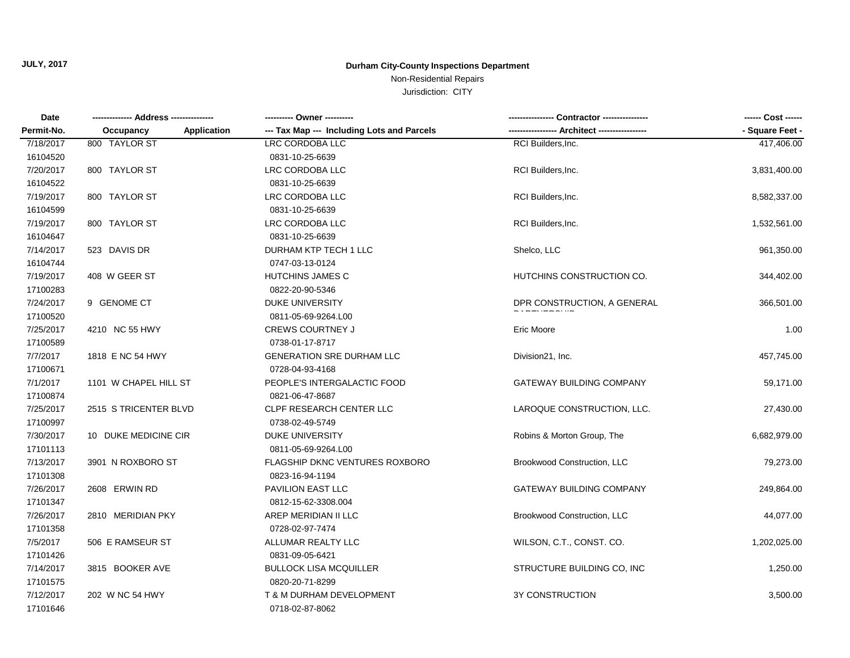Non-Residential Repairs

| Date       |                                 | ---------- Owner ----------                |                                    | ------ Cost ------ |
|------------|---------------------------------|--------------------------------------------|------------------------------------|--------------------|
| Permit-No. | <b>Application</b><br>Occupancy | --- Tax Map --- Including Lots and Parcels |                                    | - Square Feet -    |
| 7/18/2017  | 800 TAYLOR ST                   | <b>LRC CORDOBA LLC</b>                     | RCI Builders, Inc.                 | 417,406.00         |
| 16104520   |                                 | 0831-10-25-6639                            |                                    |                    |
| 7/20/2017  | 800 TAYLOR ST                   | LRC CORDOBA LLC                            | RCI Builders, Inc.                 | 3,831,400.00       |
| 16104522   |                                 | 0831-10-25-6639                            |                                    |                    |
| 7/19/2017  | 800 TAYLOR ST                   | LRC CORDOBA LLC                            | RCI Builders, Inc.                 | 8,582,337.00       |
| 16104599   |                                 | 0831-10-25-6639                            |                                    |                    |
| 7/19/2017  | 800 TAYLOR ST                   | LRC CORDOBA LLC                            | RCI Builders, Inc.                 | 1,532,561.00       |
| 16104647   |                                 | 0831-10-25-6639                            |                                    |                    |
| 7/14/2017  | 523 DAVIS DR                    | DURHAM KTP TECH 1 LLC                      | Shelco, LLC                        | 961,350.00         |
| 16104744   |                                 | 0747-03-13-0124                            |                                    |                    |
| 7/19/2017  | 408 W GEER ST                   | HUTCHINS JAMES C                           | HUTCHINS CONSTRUCTION CO.          | 344,402.00         |
| 17100283   |                                 | 0822-20-90-5346                            |                                    |                    |
| 7/24/2017  | 9 GENOME CT                     | DUKE UNIVERSITY                            | DPR CONSTRUCTION, A GENERAL        | 366,501.00         |
| 17100520   |                                 | 0811-05-69-9264.L00                        |                                    |                    |
| 7/25/2017  | 4210 NC 55 HWY                  | <b>CREWS COURTNEY J</b>                    | Eric Moore                         | 1.00               |
| 17100589   |                                 | 0738-01-17-8717                            |                                    |                    |
| 7/7/2017   | 1818 E NC 54 HWY                | <b>GENERATION SRE DURHAM LLC</b>           | Division21, Inc.                   | 457,745.00         |
| 17100671   |                                 | 0728-04-93-4168                            |                                    |                    |
| 7/1/2017   | 1101 W CHAPEL HILL ST           | PEOPLE'S INTERGALACTIC FOOD                | <b>GATEWAY BUILDING COMPANY</b>    | 59,171.00          |
| 17100874   |                                 | 0821-06-47-8687                            |                                    |                    |
| 7/25/2017  | 2515 S TRICENTER BLVD           | CLPF RESEARCH CENTER LLC                   | LAROQUE CONSTRUCTION, LLC.         | 27,430.00          |
| 17100997   |                                 | 0738-02-49-5749                            |                                    |                    |
| 7/30/2017  | 10 DUKE MEDICINE CIR            | <b>DUKE UNIVERSITY</b>                     | Robins & Morton Group, The         | 6,682,979.00       |
| 17101113   |                                 | 0811-05-69-9264.L00                        |                                    |                    |
| 7/13/2017  | 3901 N ROXBORO ST               | FLAGSHIP DKNC VENTURES ROXBORO             | Brookwood Construction, LLC        | 79,273.00          |
| 17101308   |                                 | 0823-16-94-1194                            |                                    |                    |
| 7/26/2017  | 2608 ERWIN RD                   | PAVILION EAST LLC                          | <b>GATEWAY BUILDING COMPANY</b>    | 249,864.00         |
| 17101347   |                                 | 0812-15-62-3308.004                        |                                    |                    |
| 7/26/2017  | 2810 MERIDIAN PKY               | AREP MERIDIAN II LLC                       | <b>Brookwood Construction, LLC</b> | 44,077.00          |
| 17101358   |                                 | 0728-02-97-7474                            |                                    |                    |
| 7/5/2017   | 506 E RAMSEUR ST                | ALLUMAR REALTY LLC                         | WILSON, C.T., CONST. CO.           | 1,202,025.00       |
| 17101426   |                                 | 0831-09-05-6421                            |                                    |                    |
| 7/14/2017  | 3815 BOOKER AVE                 | <b>BULLOCK LISA MCQUILLER</b>              | STRUCTURE BUILDING CO, INC         | 1,250.00           |
| 17101575   |                                 | 0820-20-71-8299                            |                                    |                    |
| 7/12/2017  | 202 W NC 54 HWY                 | T & M DURHAM DEVELOPMENT                   | <b>3Y CONSTRUCTION</b>             | 3,500.00           |
| 17101646   |                                 | 0718-02-87-8062                            |                                    |                    |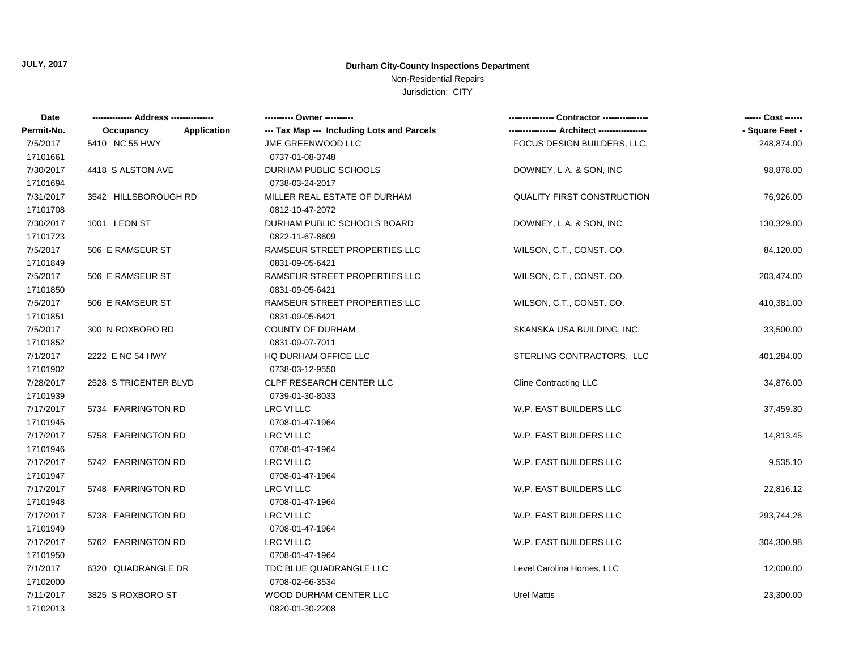### Non-Residential Repairs

| Date       |                                 | ---------- Owner ----------                |                                   | ------ Cost ------ |
|------------|---------------------------------|--------------------------------------------|-----------------------------------|--------------------|
| Permit-No. | <b>Application</b><br>Occupancy | --- Tax Map --- Including Lots and Parcels |                                   | - Square Feet -    |
| 7/5/2017   | 5410 NC 55 HWY                  | JME GREENWOOD LLC                          | FOCUS DESIGN BUILDERS, LLC.       | 248,874.00         |
| 17101661   |                                 | 0737-01-08-3748                            |                                   |                    |
| 7/30/2017  | 4418 S ALSTON AVE               | DURHAM PUBLIC SCHOOLS                      | DOWNEY, L A, & SON, INC           | 98,878.00          |
| 17101694   |                                 | 0738-03-24-2017                            |                                   |                    |
| 7/31/2017  | 3542 HILLSBOROUGH RD            | MILLER REAL ESTATE OF DURHAM               | <b>QUALITY FIRST CONSTRUCTION</b> | 76,926.00          |
| 17101708   |                                 | 0812-10-47-2072                            |                                   |                    |
| 7/30/2017  | 1001 LEON ST                    | DURHAM PUBLIC SCHOOLS BOARD                | DOWNEY, L A, & SON, INC           | 130,329.00         |
| 17101723   |                                 | 0822-11-67-8609                            |                                   |                    |
| 7/5/2017   | 506 E RAMSEUR ST                | RAMSEUR STREET PROPERTIES LLC              | WILSON, C.T., CONST. CO.          | 84,120.00          |
| 17101849   |                                 | 0831-09-05-6421                            |                                   |                    |
| 7/5/2017   | 506 E RAMSEUR ST                | RAMSEUR STREET PROPERTIES LLC              | WILSON, C.T., CONST. CO.          | 203,474.00         |
| 17101850   |                                 | 0831-09-05-6421                            |                                   |                    |
| 7/5/2017   | 506 E RAMSEUR ST                | RAMSEUR STREET PROPERTIES LLC              | WILSON, C.T., CONST. CO.          | 410,381.00         |
| 17101851   |                                 | 0831-09-05-6421                            |                                   |                    |
| 7/5/2017   | 300 N ROXBORO RD                | <b>COUNTY OF DURHAM</b>                    | SKANSKA USA BUILDING, INC.        | 33,500.00          |
| 17101852   |                                 | 0831-09-07-7011                            |                                   |                    |
| 7/1/2017   | 2222 E NC 54 HWY                | HQ DURHAM OFFICE LLC                       | STERLING CONTRACTORS, LLC         | 401,284.00         |
| 17101902   |                                 | 0738-03-12-9550                            |                                   |                    |
| 7/28/2017  | 2528 S TRICENTER BLVD           | <b>CLPF RESEARCH CENTER LLC</b>            | <b>Cline Contracting LLC</b>      | 34,876.00          |
| 17101939   |                                 | 0739-01-30-8033                            |                                   |                    |
| 7/17/2017  | 5734 FARRINGTON RD              | LRC VI LLC                                 | W.P. EAST BUILDERS LLC            | 37,459.30          |
| 17101945   |                                 | 0708-01-47-1964                            |                                   |                    |
| 7/17/2017  | 5758 FARRINGTON RD              | LRC VI LLC                                 | W.P. EAST BUILDERS LLC            | 14,813.45          |
| 17101946   |                                 | 0708-01-47-1964                            |                                   |                    |
| 7/17/2017  | 5742 FARRINGTON RD              | LRC VI LLC                                 | W.P. EAST BUILDERS LLC            | 9,535.10           |
| 17101947   |                                 | 0708-01-47-1964                            |                                   |                    |
| 7/17/2017  | 5748 FARRINGTON RD              | LRC VI LLC                                 | W.P. EAST BUILDERS LLC            | 22,816.12          |
| 17101948   |                                 | 0708-01-47-1964                            |                                   |                    |
| 7/17/2017  | 5738 FARRINGTON RD              | LRC VI LLC                                 | W.P. EAST BUILDERS LLC            | 293,744.26         |
| 17101949   |                                 | 0708-01-47-1964                            |                                   |                    |
| 7/17/2017  | 5762 FARRINGTON RD              | LRC VI LLC                                 | W.P. EAST BUILDERS LLC            | 304,300.98         |
| 17101950   |                                 | 0708-01-47-1964                            |                                   |                    |
| 7/1/2017   | 6320 QUADRANGLE DR              | TDC BLUE QUADRANGLE LLC                    | Level Carolina Homes, LLC         | 12,000.00          |
| 17102000   |                                 | 0708-02-66-3534                            |                                   |                    |
| 7/11/2017  | 3825 S ROXBORO ST               | WOOD DURHAM CENTER LLC                     | <b>Urel Mattis</b>                | 23,300.00          |
| 17102013   |                                 | 0820-01-30-2208                            |                                   |                    |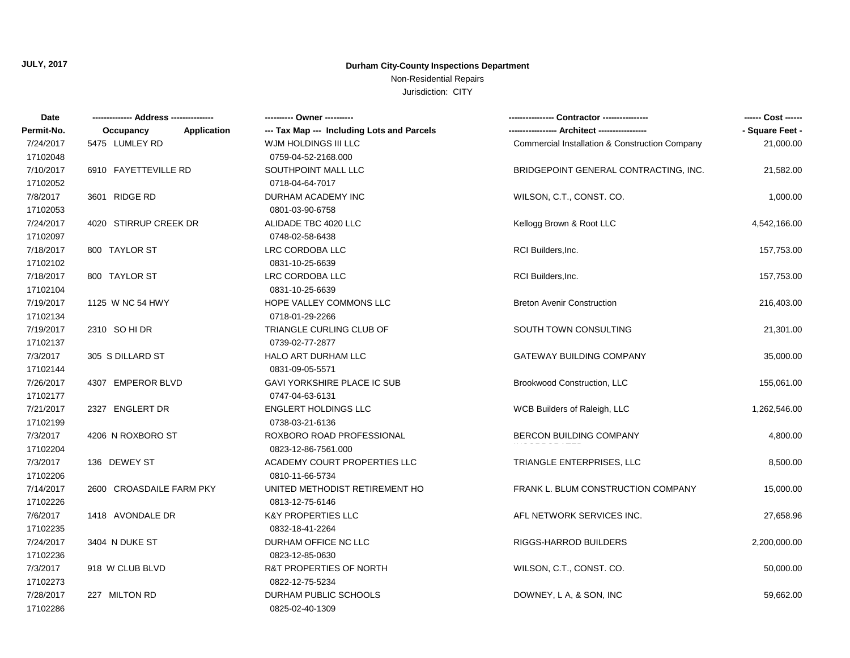Non-Residential Repairs

| Date       |                          |                                            |                                                | ------ Cost ------ |
|------------|--------------------------|--------------------------------------------|------------------------------------------------|--------------------|
| Permit-No. | Application<br>Occupancy | --- Tax Map --- Including Lots and Parcels |                                                | - Square Feet -    |
| 7/24/2017  | 5475 LUMLEY RD           | WJM HOLDINGS III LLC                       | Commercial Installation & Construction Company | 21,000.00          |
| 17102048   |                          | 0759-04-52-2168.000                        |                                                |                    |
| 7/10/2017  | 6910 FAYETTEVILLE RD     | SOUTHPOINT MALL LLC                        | BRIDGEPOINT GENERAL CONTRACTING, INC.          | 21,582.00          |
| 17102052   |                          | 0718-04-64-7017                            |                                                |                    |
| 7/8/2017   | 3601 RIDGE RD            | DURHAM ACADEMY INC                         | WILSON, C.T., CONST. CO.                       | 1,000.00           |
| 17102053   |                          | 0801-03-90-6758                            |                                                |                    |
| 7/24/2017  | 4020 STIRRUP CREEK DR    | ALIDADE TBC 4020 LLC                       | Kellogg Brown & Root LLC                       | 4,542,166.00       |
| 17102097   |                          | 0748-02-58-6438                            |                                                |                    |
| 7/18/2017  | 800 TAYLOR ST            | LRC CORDOBA LLC                            | RCI Builders, Inc.                             | 157,753.00         |
| 17102102   |                          | 0831-10-25-6639                            |                                                |                    |
| 7/18/2017  | 800 TAYLOR ST            | LRC CORDOBA LLC                            | RCI Builders, Inc.                             | 157,753.00         |
| 17102104   |                          | 0831-10-25-6639                            |                                                |                    |
| 7/19/2017  | 1125 W NC 54 HWY         | HOPE VALLEY COMMONS LLC                    | <b>Breton Avenir Construction</b>              | 216,403.00         |
| 17102134   |                          | 0718-01-29-2266                            |                                                |                    |
| 7/19/2017  | 2310 SO HI DR            | TRIANGLE CURLING CLUB OF                   | SOUTH TOWN CONSULTING                          | 21,301.00          |
| 17102137   |                          | 0739-02-77-2877                            |                                                |                    |
| 7/3/2017   | 305 S DILLARD ST         | HALO ART DURHAM LLC                        | GATEWAY BUILDING COMPANY                       | 35,000.00          |
| 17102144   |                          | 0831-09-05-5571                            |                                                |                    |
| 7/26/2017  | 4307 EMPEROR BLVD        | GAVI YORKSHIRE PLACE IC SUB                | Brookwood Construction, LLC                    | 155,061.00         |
| 17102177   |                          | 0747-04-63-6131                            |                                                |                    |
| 7/21/2017  | 2327 ENGLERT DR          | <b>ENGLERT HOLDINGS LLC</b>                | WCB Builders of Raleigh, LLC                   | 1,262,546.00       |
| 17102199   |                          | 0738-03-21-6136                            |                                                |                    |
| 7/3/2017   | 4206 N ROXBORO ST        | ROXBORO ROAD PROFESSIONAL                  | <b>BERCON BUILDING COMPANY</b>                 | 4,800.00           |
| 17102204   |                          | 0823-12-86-7561.000                        |                                                |                    |
| 7/3/2017   | 136 DEWEY ST             | ACADEMY COURT PROPERTIES LLC               | TRIANGLE ENTERPRISES, LLC                      | 8,500.00           |
| 17102206   |                          | 0810-11-66-5734                            |                                                |                    |
| 7/14/2017  | 2600 CROASDAILE FARM PKY | UNITED METHODIST RETIREMENT HO             | FRANK L. BLUM CONSTRUCTION COMPANY             | 15,000.00          |
| 17102226   |                          | 0813-12-75-6146                            |                                                |                    |
| 7/6/2017   | 1418 AVONDALE DR         | K&Y PROPERTIES LLC                         | AFL NETWORK SERVICES INC.                      | 27,658.96          |
| 17102235   |                          | 0832-18-41-2264                            |                                                |                    |
| 7/24/2017  | 3404 N DUKE ST           | DURHAM OFFICE NC LLC                       | RIGGS-HARROD BUILDERS                          | 2,200,000.00       |
| 17102236   |                          | 0823-12-85-0630                            |                                                |                    |
| 7/3/2017   | 918 W CLUB BLVD          | R&T PROPERTIES OF NORTH                    | WILSON, C.T., CONST. CO.                       | 50,000.00          |
| 17102273   |                          | 0822-12-75-5234                            |                                                |                    |
| 7/28/2017  | 227 MILTON RD            | DURHAM PUBLIC SCHOOLS                      | DOWNEY, L A, & SON, INC                        | 59,662.00          |
| 17102286   |                          | 0825-02-40-1309                            |                                                |                    |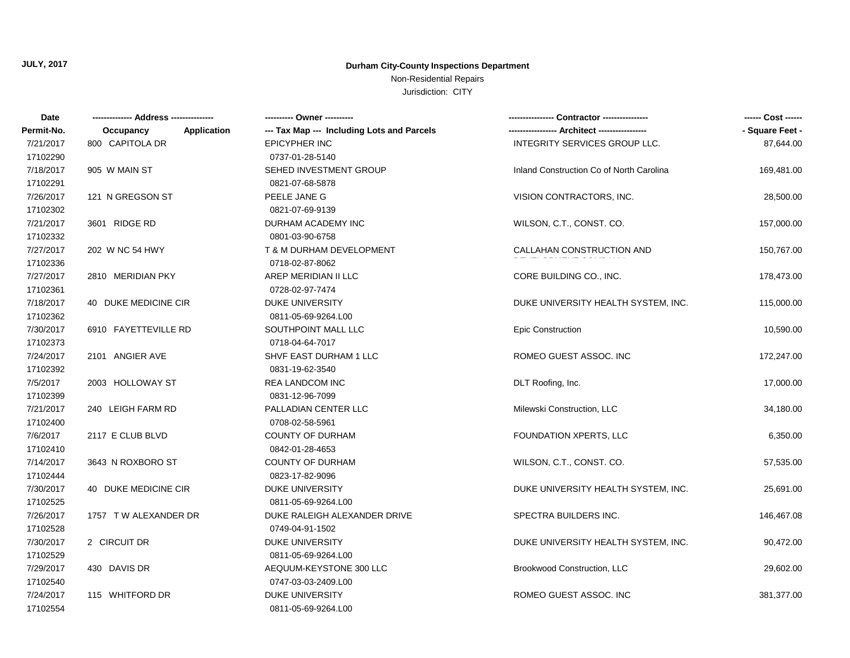Non-Residential Repairs

| Date       |                          |                                            |                                          | ------ Cost ------ |
|------------|--------------------------|--------------------------------------------|------------------------------------------|--------------------|
| Permit-No. | Application<br>Occupancy | --- Tax Map --- Including Lots and Parcels | --- Architect -----------------          | - Square Feet -    |
| 7/21/2017  | 800 CAPITOLA DR          | <b>EPICYPHER INC</b>                       | INTEGRITY SERVICES GROUP LLC.            | 87,644.00          |
| 17102290   |                          | 0737-01-28-5140                            |                                          |                    |
| 7/18/2017  | 905 W MAIN ST            | SEHED INVESTMENT GROUP                     | Inland Construction Co of North Carolina | 169,481.00         |
| 17102291   |                          | 0821-07-68-5878                            |                                          |                    |
| 7/26/2017  | 121 N GREGSON ST         | PEELE JANE G                               | VISION CONTRACTORS, INC.                 | 28,500.00          |
| 17102302   |                          | 0821-07-69-9139                            |                                          |                    |
| 7/21/2017  | 3601 RIDGE RD            | DURHAM ACADEMY INC                         | WILSON, C.T., CONST. CO.                 | 157,000.00         |
| 17102332   |                          | 0801-03-90-6758                            |                                          |                    |
| 7/27/2017  | 202 W NC 54 HWY          | T & M DURHAM DEVELOPMENT                   | CALLAHAN CONSTRUCTION AND                | 150,767.00         |
| 17102336   |                          | 0718-02-87-8062                            |                                          |                    |
| 7/27/2017  | 2810 MERIDIAN PKY        | AREP MERIDIAN II LLC                       | CORE BUILDING CO., INC.                  | 178,473.00         |
| 17102361   |                          | 0728-02-97-7474                            |                                          |                    |
| 7/18/2017  | 40 DUKE MEDICINE CIR     | DUKE UNIVERSITY                            | DUKE UNIVERSITY HEALTH SYSTEM, INC.      | 115,000.00         |
| 17102362   |                          | 0811-05-69-9264.L00                        |                                          |                    |
| 7/30/2017  | 6910 FAYETTEVILLE RD     | SOUTHPOINT MALL LLC                        | <b>Epic Construction</b>                 | 10,590.00          |
| 17102373   |                          | 0718-04-64-7017                            |                                          |                    |
| 7/24/2017  | 2101 ANGIER AVE          | SHVF EAST DURHAM 1 LLC                     | ROMEO GUEST ASSOC. INC                   | 172,247.00         |
| 17102392   |                          | 0831-19-62-3540                            |                                          |                    |
| 7/5/2017   | 2003 HOLLOWAY ST         | <b>REA LANDCOM INC</b>                     | DLT Roofing, Inc.                        | 17,000.00          |
| 17102399   |                          | 0831-12-96-7099                            |                                          |                    |
| 7/21/2017  | 240 LEIGH FARM RD        | PALLADIAN CENTER LLC                       | Milewski Construction, LLC               | 34,180.00          |
| 17102400   |                          | 0708-02-58-5961                            |                                          |                    |
| 7/6/2017   | 2117 E CLUB BLVD         | <b>COUNTY OF DURHAM</b>                    | FOUNDATION XPERTS, LLC                   | 6,350.00           |
| 17102410   |                          | 0842-01-28-4653                            |                                          |                    |
| 7/14/2017  | 3643 N ROXBORO ST        | <b>COUNTY OF DURHAM</b>                    | WILSON, C.T., CONST. CO.                 | 57,535.00          |
| 17102444   |                          | 0823-17-82-9096                            |                                          |                    |
| 7/30/2017  | 40 DUKE MEDICINE CIR     | DUKE UNIVERSITY                            | DUKE UNIVERSITY HEALTH SYSTEM, INC.      | 25,691.00          |
| 17102525   |                          | 0811-05-69-9264.L00                        |                                          |                    |
| 7/26/2017  | 1757 T W ALEXANDER DR    | DUKE RALEIGH ALEXANDER DRIVE               | SPECTRA BUILDERS INC.                    | 146,467.08         |
| 17102528   |                          | 0749-04-91-1502                            |                                          |                    |
| 7/30/2017  | 2 CIRCUIT DR             | <b>DUKE UNIVERSITY</b>                     | DUKE UNIVERSITY HEALTH SYSTEM, INC.      | 90,472.00          |
| 17102529   |                          | 0811-05-69-9264.L00                        |                                          |                    |
| 7/29/2017  | 430 DAVIS DR             | AEQUUM-KEYSTONE 300 LLC                    | Brookwood Construction, LLC              | 29,602.00          |
| 17102540   |                          | 0747-03-03-2409.L00                        |                                          |                    |
| 7/24/2017  | 115 WHITFORD DR          | DUKE UNIVERSITY                            | ROMEO GUEST ASSOC. INC                   | 381,377.00         |
| 17102554   |                          | 0811-05-69-9264.L00                        |                                          |                    |